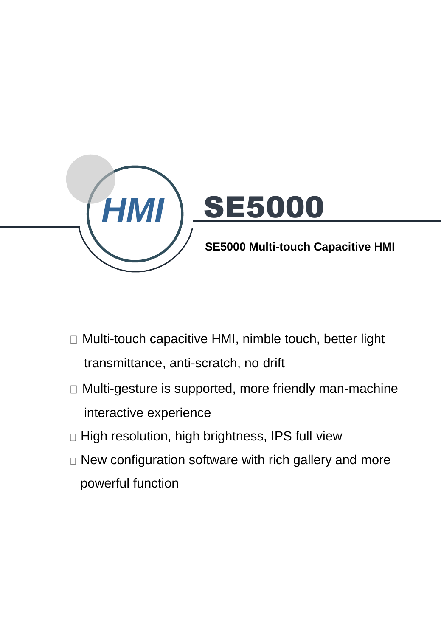

- □ Multi-touch capacitive HMI, nimble touch, better light transmittance, anti-scratch, no drift
- Multi-gesture is supported, more friendly man-machine interactive experience
- $\Box$  High resolution, high brightness, IPS full view
- New configuration software with rich gallery and more powerful function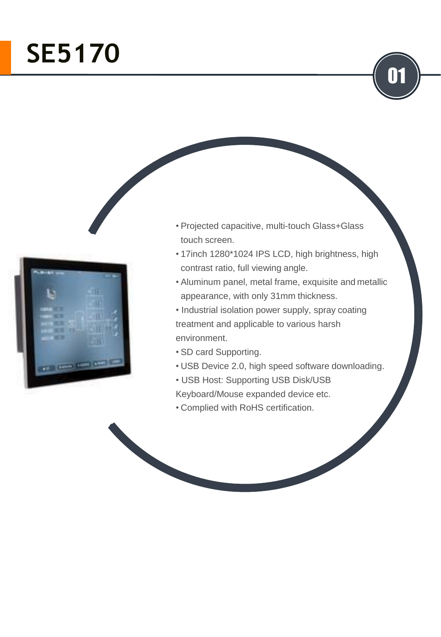# **SE5170**



- Projected capacitive, multi-touch Glass+Glass touch screen.
- 17inch 1280\*1024 IPS LCD, high brightness, high contrast ratio, full viewing angle.

01

- Aluminum panel, metal frame, exquisite and metallic appearance, with only 31mm thickness.
- Industrial isolation power supply, spray coating treatment and applicable to various harsh environment.
- SD card Supporting.
- USB Device 2.0, high speed software downloading.
- USB Host: Supporting USB Disk/USB
- Keyboard/Mouse expanded device etc.
- Complied with RoHS certification.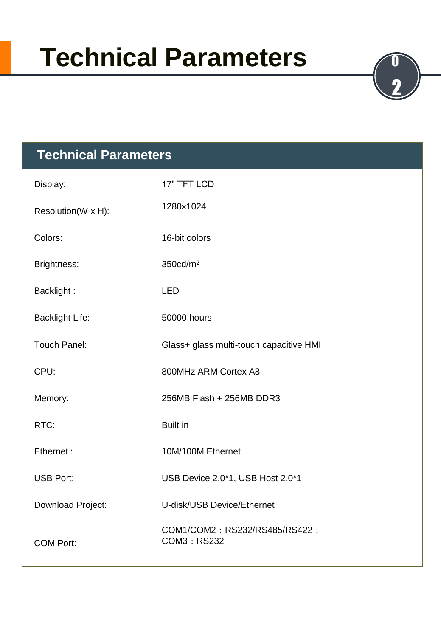# **Technical Parameters**

2



| Display:               | 17" TFT LCD                                  |
|------------------------|----------------------------------------------|
| Resolution(W x H):     | 1280×1024                                    |
| Colors:                | 16-bit colors                                |
| Brightness:            | 350cd/m <sup>2</sup>                         |
| Backlight:             | <b>LED</b>                                   |
| <b>Backlight Life:</b> | 50000 hours                                  |
| <b>Touch Panel:</b>    | Glass+ glass multi-touch capacitive HMI      |
| CPU:                   | 800MHz ARM Cortex A8                         |
| Memory:                | 256MB Flash + 256MB DDR3                     |
| RTC:                   | <b>Built in</b>                              |
| Ethernet:              | 10M/100M Ethernet                            |
| <b>USB Port:</b>       | USB Device 2.0*1, USB Host 2.0*1             |
| Download Project:      | U-disk/USB Device/Ethernet                   |
| <b>COM Port:</b>       | COM1/COM2: RS232/RS485/RS422;<br>COM3: RS232 |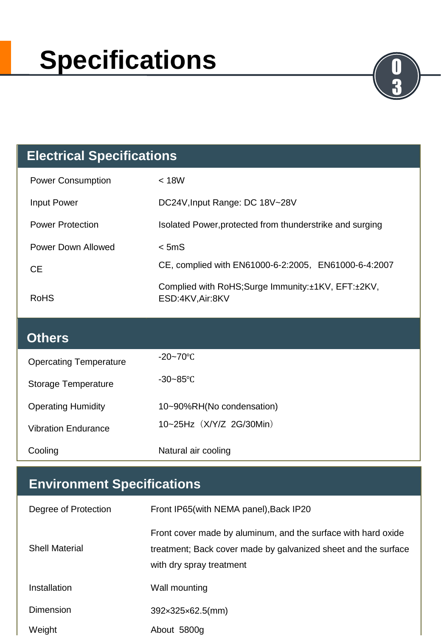# **Specifications**

#### **Electrical Specifications**

| <b>Power Consumption</b> | $<$ 18W                                                                   |
|--------------------------|---------------------------------------------------------------------------|
| <b>Input Power</b>       | DC24V, Input Range: DC 18V~28V                                            |
| <b>Power Protection</b>  | Isolated Power, protected from thunderstrike and surging                  |
| Power Down Allowed       | $<$ 5mS                                                                   |
| CE.                      | CE, complied with EN61000-6-2:2005, EN61000-6-4:2007                      |
| RoHS                     | Complied with RoHS; Surge Immunity: ±1KV, EFT: ±2KV,<br>ESD:4KV, Air: 8KV |

3

#### **Others**

| <b>Opercating Temperature</b> | $-20 - 70^{\circ}$ C      |
|-------------------------------|---------------------------|
| Storage Temperature           | $-30 - 85^{\circ}$ C      |
| <b>Operating Humidity</b>     | 10~90%RH(No condensation) |
| <b>Vibration Endurance</b>    | 10~25Hz (X/Y/Z 2G/30Min)  |
| Cooling                       | Natural air cooling       |

### **Environment Specifications**

| Degree of Protection  | Front IP65(with NEMA panel), Back IP20                                                                                                                      |
|-----------------------|-------------------------------------------------------------------------------------------------------------------------------------------------------------|
| <b>Shell Material</b> | Front cover made by aluminum, and the surface with hard oxide<br>treatment; Back cover made by galvanized sheet and the surface<br>with dry spray treatment |
| Installation          | Wall mounting                                                                                                                                               |
| <b>Dimension</b>      | $392\times325\times62.5$ (mm)                                                                                                                               |
| Weight                | About 5800g                                                                                                                                                 |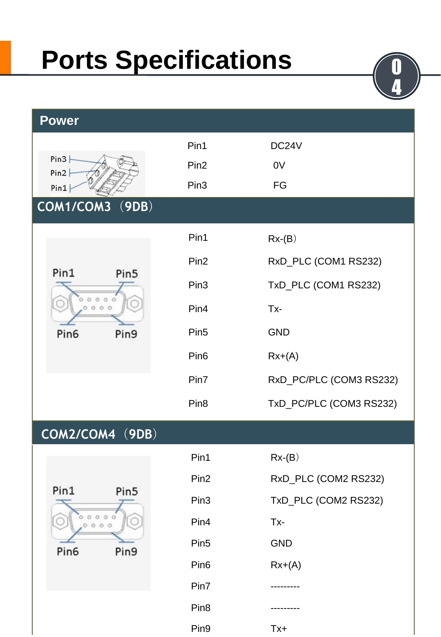### **Ports Specifications**



|           | Pin1             | $Rx-(B)$                |
|-----------|------------------|-------------------------|
| Pin5<br>× | Pin <sub>2</sub> | RxD_PLC (COM1 RS232)    |
|           | Pin <sub>3</sub> | TxD_PLC (COM1 RS232)    |
|           | Pin4             | Tx-                     |
| Pin9      | Pin <sub>5</sub> | <b>GND</b>              |
|           | Pin <sub>6</sub> | $Rx+(A)$                |
|           | Pin7             | RxD_PC/PLC (COM3 RS232) |

#### **COM2/COM4**(**9DB**)

**COM1/COM3**(**9DB**)

 $00000$  $0000$ 

**Power**

 $Pin3$  $Pin2$  $Pin1$ 

Pin1

Pin<sub>6</sub>

| Pin1             | Pin5 |
|------------------|------|
|                  |      |
| Pin <sub>6</sub> | Pin9 |

| Pin1             | $Rx-(B)$             |
|------------------|----------------------|
| Pin <sub>2</sub> | RxD_PLC (COM2 RS232) |
| Pin <sub>3</sub> | TxD_PLC (COM2 RS232) |
| Pin4             | Tx-                  |
| Pin <sub>5</sub> | <b>GND</b>           |
| Pin <sub>6</sub> | $Rx+(A)$             |
| Pin7             | -------              |
| Pin <sub>8</sub> |                      |
| Pin <sub>9</sub> | Tx+                  |

Pin8 TxD\_PC/PLC (COM3 RS232)